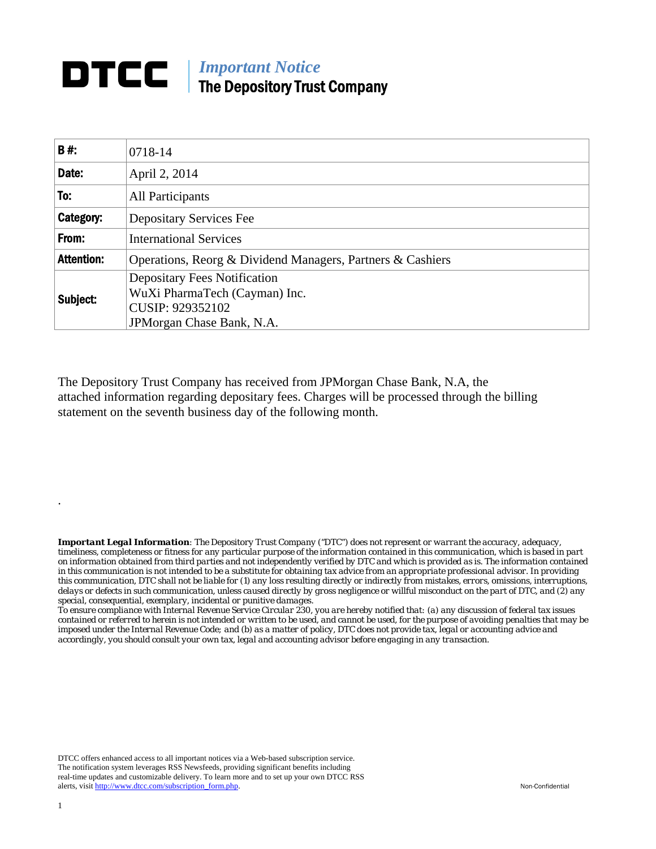## **DTCC** | *Important Notice* The Depository Trust Company

| B#:               | 0718-14                                                                                                                |  |  |  |  |  |
|-------------------|------------------------------------------------------------------------------------------------------------------------|--|--|--|--|--|
| Date:             | April 2, 2014                                                                                                          |  |  |  |  |  |
| To:               | <b>All Participants</b>                                                                                                |  |  |  |  |  |
| Category:         | <b>Depositary Services Fee</b>                                                                                         |  |  |  |  |  |
| From:             | <b>International Services</b>                                                                                          |  |  |  |  |  |
| <b>Attention:</b> | Operations, Reorg & Dividend Managers, Partners & Cashiers                                                             |  |  |  |  |  |
| Subject:          | <b>Depositary Fees Notification</b><br>WuXi PharmaTech (Cayman) Inc.<br>CUSIP: 929352102<br>JPM organ Chase Bank, N.A. |  |  |  |  |  |

The Depository Trust Company has received from JPMorgan Chase Bank, N.A, the attached information regarding depositary fees. Charges will be processed through the billing statement on the seventh business day of the following month.

*Important Legal Information: The Depository Trust Company ("DTC") does not represent or warrant the accuracy, adequacy, timeliness, completeness or fitness for any particular purpose of the information contained in this communication, which is based in part on information obtained from third parties and not independently verified by DTC and which is provided as is. The information contained in this communication is not intended to be a substitute for obtaining tax advice from an appropriate professional advisor. In providing this communication, DTC shall not be liable for (1) any loss resulting directly or indirectly from mistakes, errors, omissions, interruptions, delays or defects in such communication, unless caused directly by gross negligence or willful misconduct on the part of DTC, and (2) any special, consequential, exemplary, incidental or punitive damages.* 

*To ensure compliance with Internal Revenue Service Circular 230, you are hereby notified that: (a) any discussion of federal tax issues contained or referred to herein is not intended or written to be used, and cannot be used, for the purpose of avoiding penalties that may be imposed under the Internal Revenue Code; and (b) as a matter of policy, DTC does not provide tax, legal or accounting advice and accordingly, you should consult your own tax, legal and accounting advisor before engaging in any transaction.*

DTCC offers enhanced access to all important notices via a Web-based subscription service. The notification system leverages RSS Newsfeeds, providing significant benefits including real-time updates and customizable delivery. To learn more and to set up your own DTCC RSS alerts, visit http://www.dtcc.com/subscription\_form.php. Non-Confidential

.